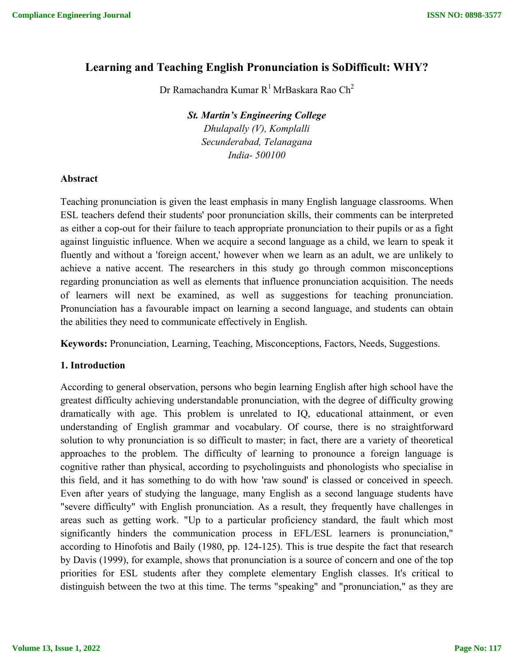# **Learning and Teaching English Pronunciation is SoDifficult: WHY?**

Dr Ramachandra Kumar  $R^1$  MrBaskara Rao Ch<sup>2</sup>

*St. Martin's Engineering College Dhulapally (V), Komplalli Secunderabad, Telanagana India- 500100*

#### **Abstract**

Teaching pronunciation is given the least emphasis in many English language classrooms. When ESL teachers defend their students' poor pronunciation skills, their comments can be interpreted as either a cop-out for their failure to teach appropriate pronunciation to their pupils or as a fight against linguistic influence. When we acquire a second language as a child, we learn to speak it fluently and without a 'foreign accent,' however when we learn as an adult, we are unlikely to achieve a native accent. The researchers in this study go through common misconceptions regarding pronunciation as well as elements that influence pronunciation acquisition. The needs of learners will next be examined, as well as suggestions for teaching pronunciation. Pronunciation has a favourable impact on learning a second language, and students can obtain the abilities they need to communicate effectively in English.

**Keywords:** Pronunciation, Learning, Teaching, Misconceptions, Factors, Needs, Suggestions.

# **1. Introduction**

According to general observation, persons who begin learning English after high school have the greatest difficulty achieving understandable pronunciation, with the degree of difficulty growing dramatically with age. This problem is unrelated to IQ, educational attainment, or even understanding of English grammar and vocabulary. Of course, there is no straightforward solution to why pronunciation is so difficult to master; in fact, there are a variety of theoretical approaches to the problem. The difficulty of learning to pronounce a foreign language is cognitive rather than physical, according to psycholinguists and phonologists who specialise in this field, and it has something to do with how 'raw sound' is classed or conceived in speech. Even after years of studying the language, many English as a second language students have "severe difficulty" with English pronunciation. As a result, they frequently have challenges in areas such as getting work. "Up to a particular proficiency standard, the fault which most significantly hinders the communication process in EFL/ESL learners is pronunciation," according to Hinofotis and Baily (1980, pp. 124-125). This is true despite the fact that research by Davis (1999), for example, shows that pronunciation is a source of concern and one of the top priorities for ESL students after they complete elementary English classes. It's critical to distinguish between the two at this time. The terms "speaking" and "pronunciation," as they are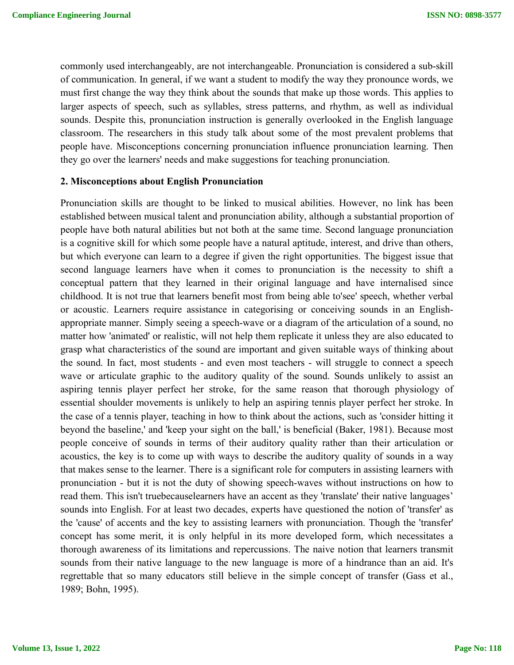commonly used interchangeably, are not interchangeable. Pronunciation is considered a sub-skill of communication. In general, if we want a student to modify the way they pronounce words, we must first change the way they think about the sounds that make up those words. This applies to larger aspects of speech, such as syllables, stress patterns, and rhythm, as well as individual sounds. Despite this, pronunciation instruction is generally overlooked in the English language classroom. The researchers in this study talk about some of the most prevalent problems that people have. Misconceptions concerning pronunciation influence pronunciation learning. Then they go over the learners' needs and make suggestions for teaching pronunciation.

#### **2. Misconceptions about English Pronunciation**

Pronunciation skills are thought to be linked to musical abilities. However, no link has been established between musical talent and pronunciation ability, although a substantial proportion of people have both natural abilities but not both at the same time. Second language pronunciation is a cognitive skill for which some people have a natural aptitude, interest, and drive than others, but which everyone can learn to a degree if given the right opportunities. The biggest issue that second language learners have when it comes to pronunciation is the necessity to shift a conceptual pattern that they learned in their original language and have internalised since childhood. It is not true that learners benefit most from being able to'see' speech, whether verbal or acoustic. Learners require assistance in categorising or conceiving sounds in an Englishappropriate manner. Simply seeing a speech-wave or a diagram of the articulation of a sound, no matter how 'animated' or realistic, will not help them replicate it unless they are also educated to grasp what characteristics of the sound are important and given suitable ways of thinking about the sound. In fact, most students - and even most teachers - will struggle to connect a speech wave or articulate graphic to the auditory quality of the sound. Sounds unlikely to assist an aspiring tennis player perfect her stroke, for the same reason that thorough physiology of essential shoulder movements is unlikely to help an aspiring tennis player perfect her stroke. In the case of a tennis player, teaching in how to think about the actions, such as 'consider hitting it beyond the baseline,' and 'keep your sight on the ball,' is beneficial (Baker, 1981). Because most people conceive of sounds in terms of their auditory quality rather than their articulation or acoustics, the key is to come up with ways to describe the auditory quality of sounds in a way that makes sense to the learner. There is a significant role for computers in assisting learners with pronunciation - but it is not the duty of showing speech-waves without instructions on how to read them. This isn't truebecauselearners have an accent as they 'translate' their native languages' sounds into English. For at least two decades, experts have questioned the notion of 'transfer' as the 'cause' of accents and the key to assisting learners with pronunciation. Though the 'transfer' concept has some merit, it is only helpful in its more developed form, which necessitates a thorough awareness of its limitations and repercussions. The naive notion that learners transmit sounds from their native language to the new language is more of a hindrance than an aid. It's regrettable that so many educators still believe in the simple concept of transfer (Gass et al., 1989; Bohn, 1995).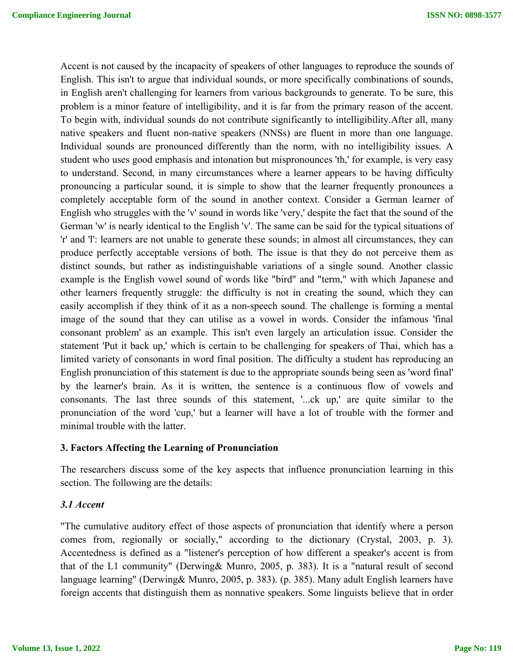Accent is not caused by the incapacity of speakers of other languages to reproduce the sounds of English. This isn't to argue that individual sounds, or more specifically combinations of sounds, in English aren't challenging for learners from various backgrounds to generate. To be sure, this problem is a minor feature of intelligibility, and it is far from the primary reason of the accent. To begin with, individual sounds do not contribute significantly to intelligibility.After all, many native speakers and fluent non-native speakers (NNSs) are fluent in more than one language. Individual sounds are pronounced differently than the norm, with no intelligibility issues. A student who uses good emphasis and intonation but mispronounces 'th,' for example, is very easy to understand. Second, in many circumstances where a learner appears to be having difficulty pronouncing a particular sound, it is simple to show that the learner frequently pronounces a completely acceptable form of the sound in another context. Consider a German learner of English who struggles with the 'v' sound in words like 'very,' despite the fact that the sound of the German 'w' is nearly identical to the English 'v'. The same can be said for the typical situations of 'r' and 'l': learners are not unable to generate these sounds; in almost all circumstances, they can produce perfectly acceptable versions of both. The issue is that they do not perceive them as distinct sounds, but rather as indistinguishable variations of a single sound. Another classic example is the English vowel sound of words like "bird" and "term," with which Japanese and other learners frequently struggle: the difficulty is not in creating the sound, which they can easily accomplish if they think of it as a non-speech sound. The challenge is forming a mental image of the sound that they can utilise as a vowel in words. Consider the infamous 'final consonant problem' as an example. This isn't even largely an articulation issue. Consider the statement 'Put it back up,' which is certain to be challenging for speakers of Thai, which has a limited variety of consonants in word final position. The difficulty a student has reproducing an English pronunciation of this statement is due to the appropriate sounds being seen as 'word final' by the learner's brain. As it is written, the sentence is a continuous flow of vowels and consonants. The last three sounds of this statement, '...ck up,' are quite similar to the pronunciation of the word 'cup,' but a learner will have a lot of trouble with the former and minimal trouble with the latter.

# **3. Factors Affecting the Learning of Pronunciation**

The researchers discuss some of the key aspects that influence pronunciation learning in this section. The following are the details:

# *3.1 Accent*

"The cumulative auditory effect of those aspects of pronunciation that identify where a person comes from, regionally or socially," according to the dictionary (Crystal, 2003, p. 3). Accentedness is defined as a "listener's perception of how different a speaker's accent is from that of the L1 community" (Derwing& Munro, 2005, p. 383). It is a "natural result of second language learning" (Derwing& Munro, 2005, p. 383). (p. 385). Many adult English learners have foreign accents that distinguish them as nonnative speakers. Some linguists believe that in order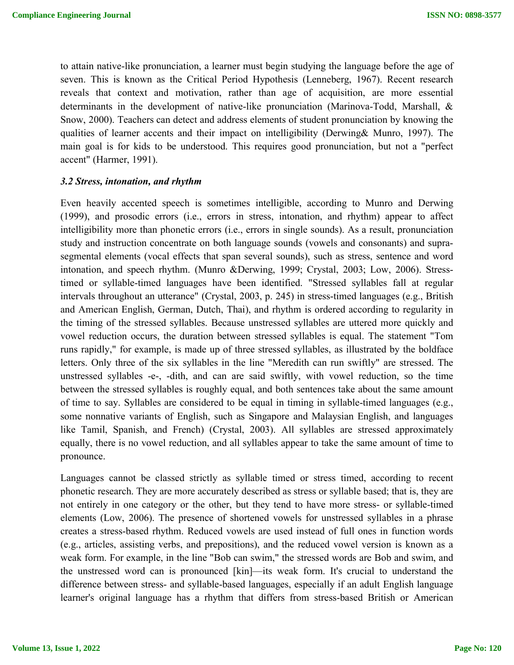to attain native-like pronunciation, a learner must begin studying the language before the age of seven. This is known as the Critical Period Hypothesis (Lenneberg, 1967). Recent research reveals that context and motivation, rather than age of acquisition, are more essential determinants in the development of native-like pronunciation (Marinova-Todd, Marshall, & Snow, 2000). Teachers can detect and address elements of student pronunciation by knowing the qualities of learner accents and their impact on intelligibility (Derwing& Munro, 1997). The main goal is for kids to be understood. This requires good pronunciation, but not a "perfect accent" (Harmer, 1991).

#### *3.2 Stress, intonation, and rhythm*

Even heavily accented speech is sometimes intelligible, according to Munro and Derwing (1999), and prosodic errors (i.e., errors in stress, intonation, and rhythm) appear to affect intelligibility more than phonetic errors (i.e., errors in single sounds). As a result, pronunciation study and instruction concentrate on both language sounds (vowels and consonants) and suprasegmental elements (vocal effects that span several sounds), such as stress, sentence and word intonation, and speech rhythm. (Munro &Derwing, 1999; Crystal, 2003; Low, 2006). Stresstimed or syllable-timed languages have been identified. "Stressed syllables fall at regular intervals throughout an utterance" (Crystal, 2003, p. 245) in stress-timed languages (e.g., British and American English, German, Dutch, Thai), and rhythm is ordered according to regularity in the timing of the stressed syllables. Because unstressed syllables are uttered more quickly and vowel reduction occurs, the duration between stressed syllables is equal. The statement "Tom runs rapidly," for example, is made up of three stressed syllables, as illustrated by the boldface letters. Only three of the six syllables in the line "Meredith can run swiftly" are stressed. The unstressed syllables -e-, -dith, and can are said swiftly, with vowel reduction, so the time between the stressed syllables is roughly equal, and both sentences take about the same amount of time to say. Syllables are considered to be equal in timing in syllable-timed languages (e.g., some nonnative variants of English, such as Singapore and Malaysian English, and languages like Tamil, Spanish, and French) (Crystal, 2003). All syllables are stressed approximately equally, there is no vowel reduction, and all syllables appear to take the same amount of time to pronounce.

Languages cannot be classed strictly as syllable timed or stress timed, according to recent phonetic research. They are more accurately described as stress or syllable based; that is, they are not entirely in one category or the other, but they tend to have more stress- or syllable-timed elements (Low, 2006). The presence of shortened vowels for unstressed syllables in a phrase creates a stress-based rhythm. Reduced vowels are used instead of full ones in function words (e.g., articles, assisting verbs, and prepositions), and the reduced vowel version is known as a weak form. For example, in the line "Bob can swim," the stressed words are Bob and swim, and the unstressed word can is pronounced [kin]—its weak form. It's crucial to understand the difference between stress- and syllable-based languages, especially if an adult English language learner's original language has a rhythm that differs from stress-based British or American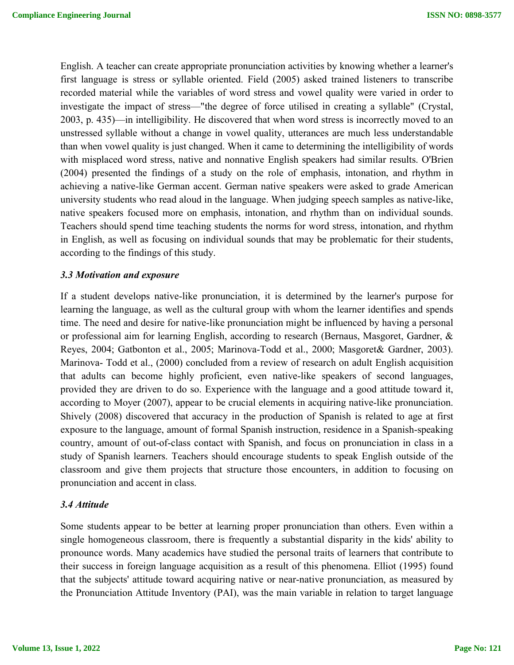English. A teacher can create appropriate pronunciation activities by knowing whether a learner's first language is stress or syllable oriented. Field (2005) asked trained listeners to transcribe recorded material while the variables of word stress and vowel quality were varied in order to investigate the impact of stress—"the degree of force utilised in creating a syllable" (Crystal, 2003, p. 435)—in intelligibility. He discovered that when word stress is incorrectly moved to an unstressed syllable without a change in vowel quality, utterances are much less understandable than when vowel quality is just changed. When it came to determining the intelligibility of words with misplaced word stress, native and nonnative English speakers had similar results. O'Brien (2004) presented the findings of a study on the role of emphasis, intonation, and rhythm in achieving a native-like German accent. German native speakers were asked to grade American university students who read aloud in the language. When judging speech samples as native-like, native speakers focused more on emphasis, intonation, and rhythm than on individual sounds. Teachers should spend time teaching students the norms for word stress, intonation, and rhythm in English, as well as focusing on individual sounds that may be problematic for their students, according to the findings of this study.

### *3.3 Motivation and exposure*

If a student develops native-like pronunciation, it is determined by the learner's purpose for learning the language, as well as the cultural group with whom the learner identifies and spends time. The need and desire for native-like pronunciation might be influenced by having a personal or professional aim for learning English, according to research (Bernaus, Masgoret, Gardner, & Reyes, 2004; Gatbonton et al., 2005; Marinova-Todd et al., 2000; Masgoret& Gardner, 2003). Marinova- Todd et al., (2000) concluded from a review of research on adult English acquisition that adults can become highly proficient, even native-like speakers of second languages, provided they are driven to do so. Experience with the language and a good attitude toward it, according to Moyer (2007), appear to be crucial elements in acquiring native-like pronunciation. Shively (2008) discovered that accuracy in the production of Spanish is related to age at first exposure to the language, amount of formal Spanish instruction, residence in a Spanish-speaking country, amount of out-of-class contact with Spanish, and focus on pronunciation in class in a study of Spanish learners. Teachers should encourage students to speak English outside of the classroom and give them projects that structure those encounters, in addition to focusing on pronunciation and accent in class.

#### *3.4 Attitude*

Some students appear to be better at learning proper pronunciation than others. Even within a single homogeneous classroom, there is frequently a substantial disparity in the kids' ability to pronounce words. Many academics have studied the personal traits of learners that contribute to their success in foreign language acquisition as a result of this phenomena. Elliot (1995) found that the subjects' attitude toward acquiring native or near-native pronunciation, as measured by the Pronunciation Attitude Inventory (PAI), was the main variable in relation to target language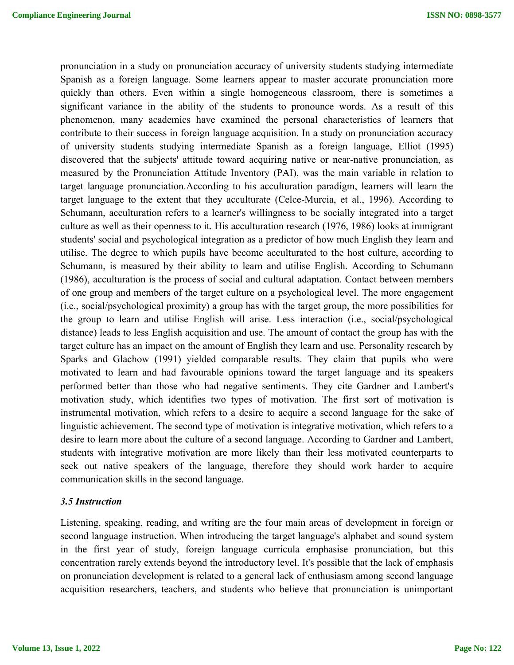pronunciation in a study on pronunciation accuracy of university students studying intermediate Spanish as a foreign language. Some learners appear to master accurate pronunciation more quickly than others. Even within a single homogeneous classroom, there is sometimes a significant variance in the ability of the students to pronounce words. As a result of this phenomenon, many academics have examined the personal characteristics of learners that contribute to their success in foreign language acquisition. In a study on pronunciation accuracy of university students studying intermediate Spanish as a foreign language, Elliot (1995) discovered that the subjects' attitude toward acquiring native or near-native pronunciation, as measured by the Pronunciation Attitude Inventory (PAI), was the main variable in relation to target language pronunciation.According to his acculturation paradigm, learners will learn the target language to the extent that they acculturate (Celce-Murcia, et al., 1996). According to Schumann, acculturation refers to a learner's willingness to be socially integrated into a target culture as well as their openness to it. His acculturation research (1976, 1986) looks at immigrant students' social and psychological integration as a predictor of how much English they learn and utilise. The degree to which pupils have become acculturated to the host culture, according to Schumann, is measured by their ability to learn and utilise English. According to Schumann (1986), acculturation is the process of social and cultural adaptation. Contact between members of one group and members of the target culture on a psychological level. The more engagement (i.e., social/psychological proximity) a group has with the target group, the more possibilities for the group to learn and utilise English will arise. Less interaction (i.e., social/psychological distance) leads to less English acquisition and use. The amount of contact the group has with the target culture has an impact on the amount of English they learn and use. Personality research by Sparks and Glachow (1991) yielded comparable results. They claim that pupils who were motivated to learn and had favourable opinions toward the target language and its speakers performed better than those who had negative sentiments. They cite Gardner and Lambert's motivation study, which identifies two types of motivation. The first sort of motivation is instrumental motivation, which refers to a desire to acquire a second language for the sake of linguistic achievement. The second type of motivation is integrative motivation, which refers to a desire to learn more about the culture of a second language. According to Gardner and Lambert, students with integrative motivation are more likely than their less motivated counterparts to seek out native speakers of the language, therefore they should work harder to acquire communication skills in the second language.

#### *3.5 Instruction*

Listening, speaking, reading, and writing are the four main areas of development in foreign or second language instruction. When introducing the target language's alphabet and sound system in the first year of study, foreign language curricula emphasise pronunciation, but this concentration rarely extends beyond the introductory level. It's possible that the lack of emphasis on pronunciation development is related to a general lack of enthusiasm among second language acquisition researchers, teachers, and students who believe that pronunciation is unimportant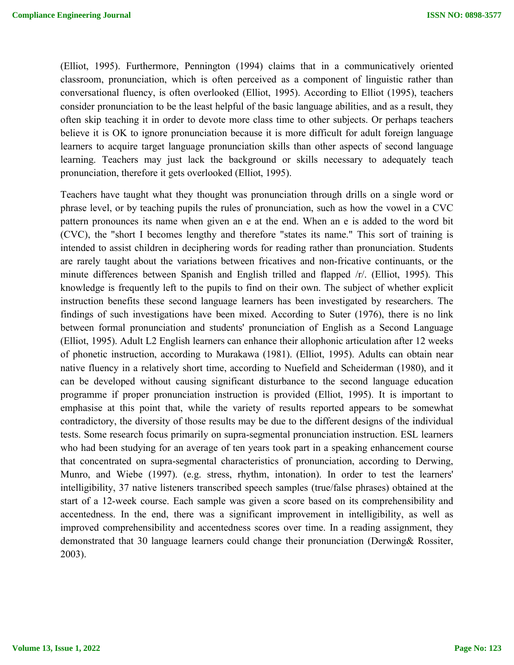(Elliot, 1995). Furthermore, Pennington (1994) claims that in a communicatively oriented classroom, pronunciation, which is often perceived as a component of linguistic rather than conversational fluency, is often overlooked (Elliot, 1995). According to Elliot (1995), teachers consider pronunciation to be the least helpful of the basic language abilities, and as a result, they often skip teaching it in order to devote more class time to other subjects. Or perhaps teachers believe it is OK to ignore pronunciation because it is more difficult for adult foreign language learners to acquire target language pronunciation skills than other aspects of second language learning. Teachers may just lack the background or skills necessary to adequately teach pronunciation, therefore it gets overlooked (Elliot, 1995).

Teachers have taught what they thought was pronunciation through drills on a single word or phrase level, or by teaching pupils the rules of pronunciation, such as how the vowel in a CVC pattern pronounces its name when given an e at the end. When an e is added to the word bit (CVC), the "short I becomes lengthy and therefore "states its name." This sort of training is intended to assist children in deciphering words for reading rather than pronunciation. Students are rarely taught about the variations between fricatives and non-fricative continuants, or the minute differences between Spanish and English trilled and flapped /r/. (Elliot, 1995). This knowledge is frequently left to the pupils to find on their own. The subject of whether explicit instruction benefits these second language learners has been investigated by researchers. The findings of such investigations have been mixed. According to Suter (1976), there is no link between formal pronunciation and students' pronunciation of English as a Second Language (Elliot, 1995). Adult L2 English learners can enhance their allophonic articulation after 12 weeks of phonetic instruction, according to Murakawa (1981). (Elliot, 1995). Adults can obtain near native fluency in a relatively short time, according to Nuefield and Scheiderman (1980), and it can be developed without causing significant disturbance to the second language education programme if proper pronunciation instruction is provided (Elliot, 1995). It is important to emphasise at this point that, while the variety of results reported appears to be somewhat contradictory, the diversity of those results may be due to the different designs of the individual tests. Some research focus primarily on supra-segmental pronunciation instruction. ESL learners who had been studying for an average of ten years took part in a speaking enhancement course that concentrated on supra-segmental characteristics of pronunciation, according to Derwing, Munro, and Wiebe (1997). (e.g. stress, rhythm, intonation). In order to test the learners' intelligibility, 37 native listeners transcribed speech samples (true/false phrases) obtained at the start of a 12-week course. Each sample was given a score based on its comprehensibility and accentedness. In the end, there was a significant improvement in intelligibility, as well as improved comprehensibility and accentedness scores over time. In a reading assignment, they demonstrated that 30 language learners could change their pronunciation (Derwing& Rossiter, 2003).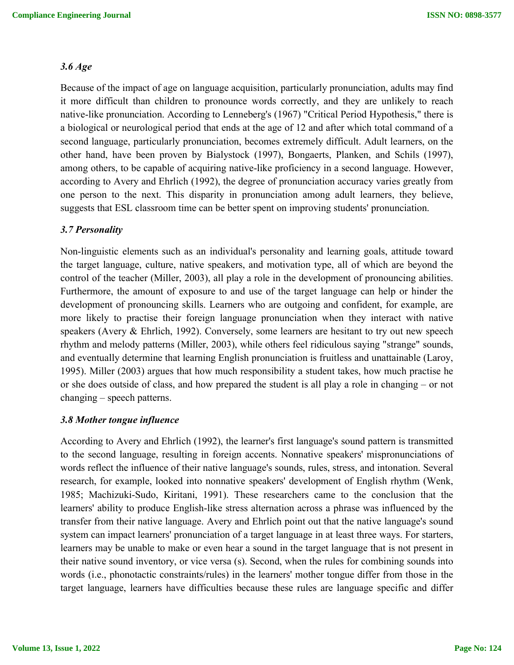#### *3.6 Age*

Because of the impact of age on language acquisition, particularly pronunciation, adults may find it more difficult than children to pronounce words correctly, and they are unlikely to reach native-like pronunciation. According to Lenneberg's (1967) "Critical Period Hypothesis," there is a biological or neurological period that ends at the age of 12 and after which total command of a second language, particularly pronunciation, becomes extremely difficult. Adult learners, on the other hand, have been proven by Bialystock (1997), Bongaerts, Planken, and Schils (1997), among others, to be capable of acquiring native-like proficiency in a second language. However, according to Avery and Ehrlich (1992), the degree of pronunciation accuracy varies greatly from one person to the next. This disparity in pronunciation among adult learners, they believe, suggests that ESL classroom time can be better spent on improving students' pronunciation.

#### *3.7 Personality*

Non-linguistic elements such as an individual's personality and learning goals, attitude toward the target language, culture, native speakers, and motivation type, all of which are beyond the control of the teacher (Miller, 2003), all play a role in the development of pronouncing abilities. Furthermore, the amount of exposure to and use of the target language can help or hinder the development of pronouncing skills. Learners who are outgoing and confident, for example, are more likely to practise their foreign language pronunciation when they interact with native speakers (Avery & Ehrlich, 1992). Conversely, some learners are hesitant to try out new speech rhythm and melody patterns (Miller, 2003), while others feel ridiculous saying "strange" sounds, and eventually determine that learning English pronunciation is fruitless and unattainable (Laroy, 1995). Miller (2003) argues that how much responsibility a student takes, how much practise he or she does outside of class, and how prepared the student is all play a role in changing – or not changing – speech patterns.

### *3.8 Mother tongue influence*

According to Avery and Ehrlich (1992), the learner's first language's sound pattern is transmitted to the second language, resulting in foreign accents. Nonnative speakers' mispronunciations of words reflect the influence of their native language's sounds, rules, stress, and intonation. Several research, for example, looked into nonnative speakers' development of English rhythm (Wenk, 1985; Machizuki-Sudo, Kiritani, 1991). These researchers came to the conclusion that the learners' ability to produce English-like stress alternation across a phrase was influenced by the transfer from their native language. Avery and Ehrlich point out that the native language's sound system can impact learners' pronunciation of a target language in at least three ways. For starters, learners may be unable to make or even hear a sound in the target language that is not present in their native sound inventory, or vice versa (s). Second, when the rules for combining sounds into words (i.e., phonotactic constraints/rules) in the learners' mother tongue differ from those in the target language, learners have difficulties because these rules are language specific and differ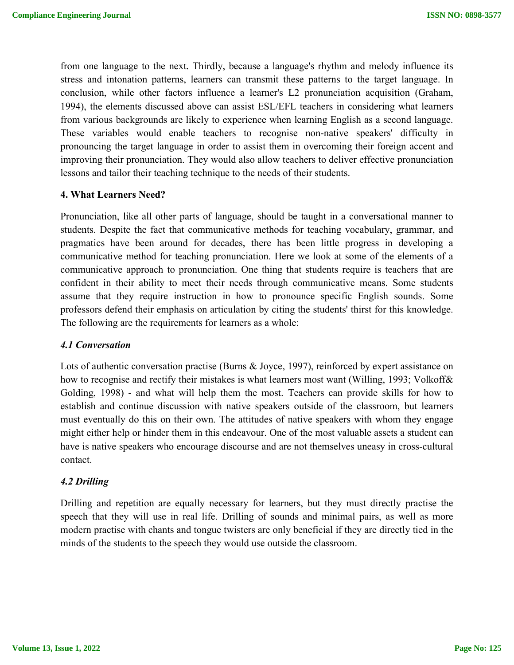from one language to the next. Thirdly, because a language's rhythm and melody influence its stress and intonation patterns, learners can transmit these patterns to the target language. In conclusion, while other factors influence a learner's L2 pronunciation acquisition (Graham, 1994), the elements discussed above can assist ESL/EFL teachers in considering what learners from various backgrounds are likely to experience when learning English as a second language. These variables would enable teachers to recognise non-native speakers' difficulty in pronouncing the target language in order to assist them in overcoming their foreign accent and improving their pronunciation. They would also allow teachers to deliver effective pronunciation lessons and tailor their teaching technique to the needs of their students.

### **4. What Learners Need?**

Pronunciation, like all other parts of language, should be taught in a conversational manner to students. Despite the fact that communicative methods for teaching vocabulary, grammar, and pragmatics have been around for decades, there has been little progress in developing a communicative method for teaching pronunciation. Here we look at some of the elements of a communicative approach to pronunciation. One thing that students require is teachers that are confident in their ability to meet their needs through communicative means. Some students assume that they require instruction in how to pronounce specific English sounds. Some professors defend their emphasis on articulation by citing the students' thirst for this knowledge. The following are the requirements for learners as a whole:

#### *4.1 Conversation*

Lots of authentic conversation practise (Burns & Joyce, 1997), reinforced by expert assistance on how to recognise and rectify their mistakes is what learners most want (Willing, 1993; Volkoff& Golding, 1998) - and what will help them the most. Teachers can provide skills for how to establish and continue discussion with native speakers outside of the classroom, but learners must eventually do this on their own. The attitudes of native speakers with whom they engage might either help or hinder them in this endeavour. One of the most valuable assets a student can have is native speakers who encourage discourse and are not themselves uneasy in cross-cultural contact.

#### *4.2 Drilling*

Drilling and repetition are equally necessary for learners, but they must directly practise the speech that they will use in real life. Drilling of sounds and minimal pairs, as well as more modern practise with chants and tongue twisters are only beneficial if they are directly tied in the minds of the students to the speech they would use outside the classroom.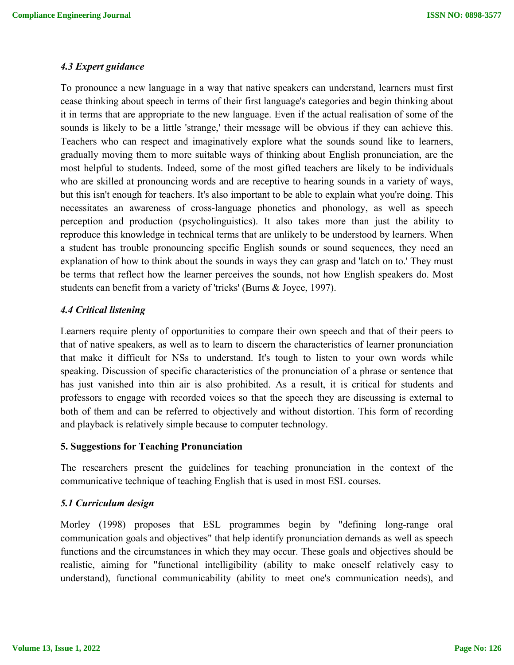### *4.3 Expert guidance*

To pronounce a new language in a way that native speakers can understand, learners must first cease thinking about speech in terms of their first language's categories and begin thinking about it in terms that are appropriate to the new language. Even if the actual realisation of some of the sounds is likely to be a little 'strange,' their message will be obvious if they can achieve this. Teachers who can respect and imaginatively explore what the sounds sound like to learners, gradually moving them to more suitable ways of thinking about English pronunciation, are the most helpful to students. Indeed, some of the most gifted teachers are likely to be individuals who are skilled at pronouncing words and are receptive to hearing sounds in a variety of ways, but this isn't enough for teachers. It's also important to be able to explain what you're doing. This necessitates an awareness of cross-language phonetics and phonology, as well as speech perception and production (psycholinguistics). It also takes more than just the ability to reproduce this knowledge in technical terms that are unlikely to be understood by learners. When a student has trouble pronouncing specific English sounds or sound sequences, they need an explanation of how to think about the sounds in ways they can grasp and 'latch on to.' They must be terms that reflect how the learner perceives the sounds, not how English speakers do. Most students can benefit from a variety of 'tricks' (Burns & Joyce, 1997).

# *4.4 Critical listening*

Learners require plenty of opportunities to compare their own speech and that of their peers to that of native speakers, as well as to learn to discern the characteristics of learner pronunciation that make it difficult for NSs to understand. It's tough to listen to your own words while speaking. Discussion of specific characteristics of the pronunciation of a phrase or sentence that has just vanished into thin air is also prohibited. As a result, it is critical for students and professors to engage with recorded voices so that the speech they are discussing is external to both of them and can be referred to objectively and without distortion. This form of recording and playback is relatively simple because to computer technology.

#### **5. Suggestions for Teaching Pronunciation**

The researchers present the guidelines for teaching pronunciation in the context of the communicative technique of teaching English that is used in most ESL courses.

# *5.1 Curriculum design*

Morley (1998) proposes that ESL programmes begin by "defining long-range oral communication goals and objectives" that help identify pronunciation demands as well as speech functions and the circumstances in which they may occur. These goals and objectives should be realistic, aiming for "functional intelligibility (ability to make oneself relatively easy to understand), functional communicability (ability to meet one's communication needs), and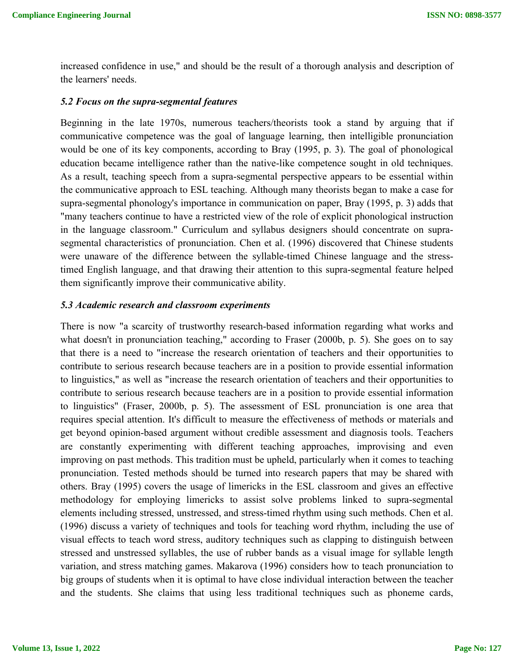increased confidence in use," and should be the result of a thorough analysis and description of the learners' needs.

#### *5.2 Focus on the supra-segmental features*

Beginning in the late 1970s, numerous teachers/theorists took a stand by arguing that if communicative competence was the goal of language learning, then intelligible pronunciation would be one of its key components, according to Bray (1995, p. 3). The goal of phonological education became intelligence rather than the native-like competence sought in old techniques. As a result, teaching speech from a supra-segmental perspective appears to be essential within the communicative approach to ESL teaching. Although many theorists began to make a case for supra-segmental phonology's importance in communication on paper, Bray (1995, p. 3) adds that "many teachers continue to have a restricted view of the role of explicit phonological instruction in the language classroom." Curriculum and syllabus designers should concentrate on suprasegmental characteristics of pronunciation. Chen et al. (1996) discovered that Chinese students were unaware of the difference between the syllable-timed Chinese language and the stresstimed English language, and that drawing their attention to this supra-segmental feature helped them significantly improve their communicative ability.

#### *5.3 Academic research and classroom experiments*

There is now "a scarcity of trustworthy research-based information regarding what works and what doesn't in pronunciation teaching," according to Fraser (2000b, p. 5). She goes on to say that there is a need to "increase the research orientation of teachers and their opportunities to contribute to serious research because teachers are in a position to provide essential information to linguistics," as well as "increase the research orientation of teachers and their opportunities to contribute to serious research because teachers are in a position to provide essential information to linguistics" (Fraser, 2000b, p. 5). The assessment of ESL pronunciation is one area that requires special attention. It's difficult to measure the effectiveness of methods or materials and get beyond opinion-based argument without credible assessment and diagnosis tools. Teachers are constantly experimenting with different teaching approaches, improvising and even improving on past methods. This tradition must be upheld, particularly when it comes to teaching pronunciation. Tested methods should be turned into research papers that may be shared with others. Bray (1995) covers the usage of limericks in the ESL classroom and gives an effective methodology for employing limericks to assist solve problems linked to supra-segmental elements including stressed, unstressed, and stress-timed rhythm using such methods. Chen et al. (1996) discuss a variety of techniques and tools for teaching word rhythm, including the use of visual effects to teach word stress, auditory techniques such as clapping to distinguish between stressed and unstressed syllables, the use of rubber bands as a visual image for syllable length variation, and stress matching games. Makarova (1996) considers how to teach pronunciation to big groups of students when it is optimal to have close individual interaction between the teacher and the students. She claims that using less traditional techniques such as phoneme cards,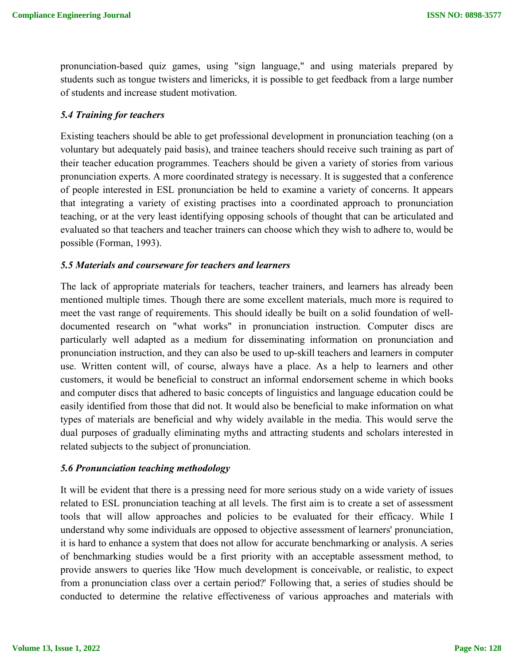pronunciation-based quiz games, using "sign language," and using materials prepared by students such as tongue twisters and limericks, it is possible to get feedback from a large number of students and increase student motivation.

# *5.4 Training for teachers*

Existing teachers should be able to get professional development in pronunciation teaching (on a voluntary but adequately paid basis), and trainee teachers should receive such training as part of their teacher education programmes. Teachers should be given a variety of stories from various pronunciation experts. A more coordinated strategy is necessary. It is suggested that a conference of people interested in ESL pronunciation be held to examine a variety of concerns. It appears that integrating a variety of existing practises into a coordinated approach to pronunciation teaching, or at the very least identifying opposing schools of thought that can be articulated and evaluated so that teachers and teacher trainers can choose which they wish to adhere to, would be possible (Forman, 1993).

# *5.5 Materials and courseware for teachers and learners*

The lack of appropriate materials for teachers, teacher trainers, and learners has already been mentioned multiple times. Though there are some excellent materials, much more is required to meet the vast range of requirements. This should ideally be built on a solid foundation of welldocumented research on "what works" in pronunciation instruction. Computer discs are particularly well adapted as a medium for disseminating information on pronunciation and pronunciation instruction, and they can also be used to up-skill teachers and learners in computer use. Written content will, of course, always have a place. As a help to learners and other customers, it would be beneficial to construct an informal endorsement scheme in which books and computer discs that adhered to basic concepts of linguistics and language education could be easily identified from those that did not. It would also be beneficial to make information on what types of materials are beneficial and why widely available in the media. This would serve the dual purposes of gradually eliminating myths and attracting students and scholars interested in related subjects to the subject of pronunciation.

# *5.6 Pronunciation teaching methodology*

It will be evident that there is a pressing need for more serious study on a wide variety of issues related to ESL pronunciation teaching at all levels. The first aim is to create a set of assessment tools that will allow approaches and policies to be evaluated for their efficacy. While I understand why some individuals are opposed to objective assessment of learners' pronunciation, it is hard to enhance a system that does not allow for accurate benchmarking or analysis. A series of benchmarking studies would be a first priority with an acceptable assessment method, to provide answers to queries like 'How much development is conceivable, or realistic, to expect from a pronunciation class over a certain period?' Following that, a series of studies should be conducted to determine the relative effectiveness of various approaches and materials with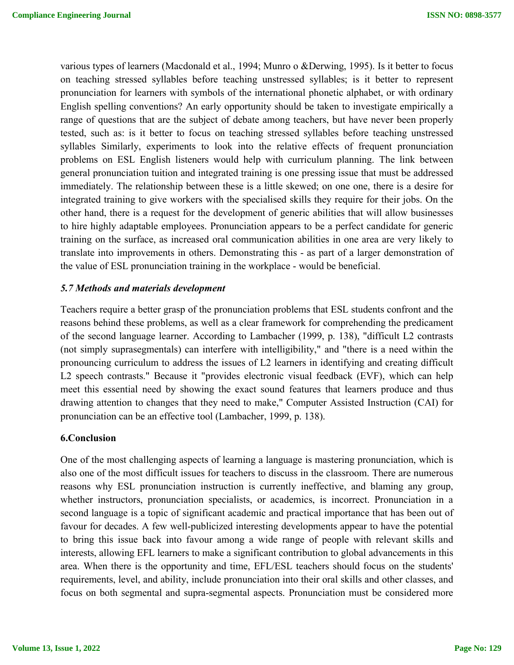various types of learners (Macdonald et al., 1994; Munro o &Derwing, 1995). Is it better to focus on teaching stressed syllables before teaching unstressed syllables; is it better to represent pronunciation for learners with symbols of the international phonetic alphabet, or with ordinary English spelling conventions? An early opportunity should be taken to investigate empirically a range of questions that are the subject of debate among teachers, but have never been properly tested, such as: is it better to focus on teaching stressed syllables before teaching unstressed syllables Similarly, experiments to look into the relative effects of frequent pronunciation problems on ESL English listeners would help with curriculum planning. The link between general pronunciation tuition and integrated training is one pressing issue that must be addressed immediately. The relationship between these is a little skewed; on one one, there is a desire for integrated training to give workers with the specialised skills they require for their jobs. On the other hand, there is a request for the development of generic abilities that will allow businesses to hire highly adaptable employees. Pronunciation appears to be a perfect candidate for generic training on the surface, as increased oral communication abilities in one area are very likely to translate into improvements in others. Demonstrating this - as part of a larger demonstration of the value of ESL pronunciation training in the workplace - would be beneficial.

### *5.7 Methods and materials development*

Teachers require a better grasp of the pronunciation problems that ESL students confront and the reasons behind these problems, as well as a clear framework for comprehending the predicament of the second language learner. According to Lambacher (1999, p. 138), "difficult L2 contrasts (not simply suprasegmentals) can interfere with intelligibility," and "there is a need within the pronouncing curriculum to address the issues of L2 learners in identifying and creating difficult L2 speech contrasts." Because it "provides electronic visual feedback (EVF), which can help meet this essential need by showing the exact sound features that learners produce and thus drawing attention to changes that they need to make," Computer Assisted Instruction (CAI) for pronunciation can be an effective tool (Lambacher, 1999, p. 138).

#### **6.Conclusion**

One of the most challenging aspects of learning a language is mastering pronunciation, which is also one of the most difficult issues for teachers to discuss in the classroom. There are numerous reasons why ESL pronunciation instruction is currently ineffective, and blaming any group, whether instructors, pronunciation specialists, or academics, is incorrect. Pronunciation in a second language is a topic of significant academic and practical importance that has been out of favour for decades. A few well-publicized interesting developments appear to have the potential to bring this issue back into favour among a wide range of people with relevant skills and interests, allowing EFL learners to make a significant contribution to global advancements in this area. When there is the opportunity and time, EFL/ESL teachers should focus on the students' requirements, level, and ability, include pronunciation into their oral skills and other classes, and focus on both segmental and supra-segmental aspects. Pronunciation must be considered more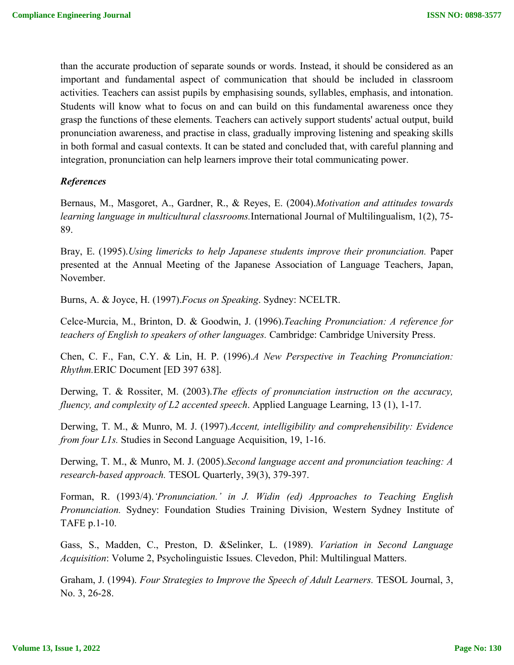than the accurate production of separate sounds or words. Instead, it should be considered as an important and fundamental aspect of communication that should be included in classroom activities. Teachers can assist pupils by emphasising sounds, syllables, emphasis, and intonation. Students will know what to focus on and can build on this fundamental awareness once they grasp the functions of these elements. Teachers can actively support students' actual output, build pronunciation awareness, and practise in class, gradually improving listening and speaking skills in both formal and casual contexts. It can be stated and concluded that, with careful planning and integration, pronunciation can help learners improve their total communicating power.

### *References*

Bernaus, M., Masgoret, A., Gardner, R., & Reyes, E. (2004).*Motivation and attitudes towards learning language in multicultural classrooms.*International Journal of Multilingualism, 1(2), 75- 89.

Bray, E. (1995).*Using limericks to help Japanese students improve their pronunciation.* Paper presented at the Annual Meeting of the Japanese Association of Language Teachers, Japan, November.

Burns, A. & Joyce, H. (1997).*Focus on Speaking*. Sydney: NCELTR.

Celce-Murcia, M., Brinton, D. & Goodwin, J. (1996).*Teaching Pronunciation: A reference for teachers of English to speakers of other languages.* Cambridge: Cambridge University Press.

Chen, C. F., Fan, C.Y. & Lin, H. P. (1996).*A New Perspective in Teaching Pronunciation: Rhythm.*ERIC Document [ED 397 638].

Derwing, T. & Rossiter, M. (2003).*The effects of pronunciation instruction on the accuracy, fluency, and complexity of L2 accented speech*. Applied Language Learning, 13 (1), 1-17.

Derwing, T. M., & Munro, M. J. (1997).*Accent, intelligibility and comprehensibility: Evidence from four L1s.* Studies in Second Language Acquisition, 19, 1-16.

Derwing, T. M., & Munro, M. J. (2005).*Second language accent and pronunciation teaching: A research-based approach.* TESOL Quarterly, 39(3), 379-397.

Forman, R. (1993/4).*'Pronunciation.' in J. Widin (ed) Approaches to Teaching English Pronunciation.* Sydney: Foundation Studies Training Division, Western Sydney Institute of TAFE p.1-10.

Gass, S., Madden, C., Preston, D. &Selinker, L. (1989). *Variation in Second Language Acquisition*: Volume 2, Psycholinguistic Issues. Clevedon, Phil: Multilingual Matters.

Graham, J. (1994). *Four Strategies to Improve the Speech of Adult Learners.* TESOL Journal, 3, No. 3, 26-28.